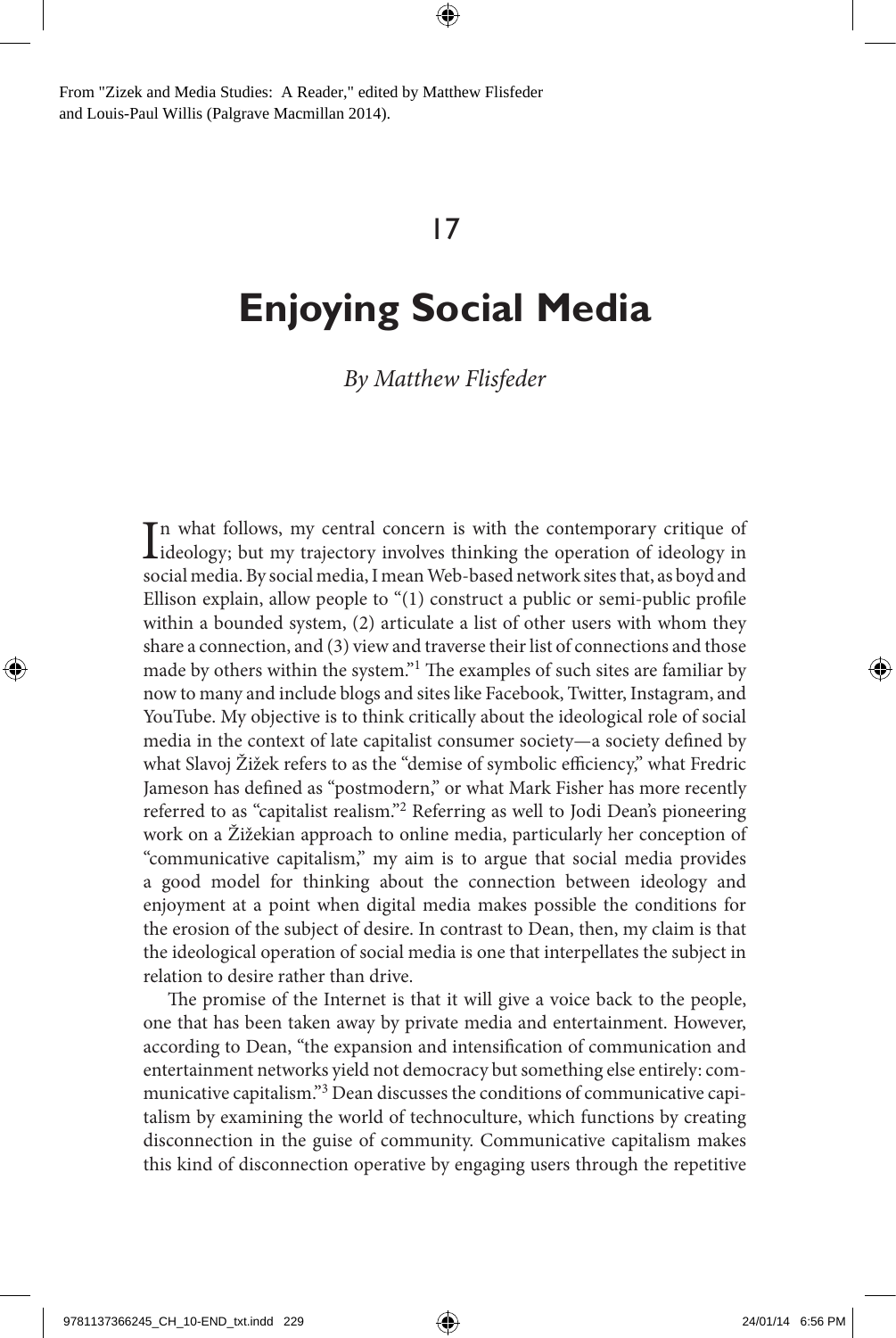From "Zizek and Media Studies: A Reader," edited by Matthew Flisfeder and Louis-Paul Willis (Palgrave Macmillan 2014).

## 17

# **Enjoying Social Media**

By Matthew Flisfeder

In what follows, my central concern is with the contemporary critique of ideology; but my trajectory involves thinking the operation of ideology in n what follows, my central concern is with the contemporary critique of social media. By social media, I mean Web-based network sites that, as boyd and Ellison explain, allow people to  $(1)$  construct a public or semi-public profile within a bounded system, (2) articulate a list of other users with whom they share a connection, and (3) view and traverse their list of connections and those made by others within the system."<sup>1</sup> The examples of such sites are familiar by now to many and include blogs and sites like Facebook, Twitter, Instagram, and YouTube. My objective is to think critically about the ideological role of social media in the context of late capitalist consumer society—a society defined by what Slavoj Žižek refers to as the "demise of symbolic efficiency," what Fredric Jameson has defined as "postmodern," or what Mark Fisher has more recently referred to as "capitalist realism."2 Referring as well to Jodi Dean's pioneering work on a Žižekian approach to online media, particularly her conception of "communicative capitalism," my aim is to argue that social media provides a good model for thinking about the connection between ideology and enjoyment at a point when digital media makes possible the conditions for the erosion of the subject of desire. In contrast to Dean, then, my claim is that the ideological operation of social media is one that interpellates the subject in relation to desire rather than drive.

The promise of the Internet is that it will give a voice back to the people, one that has been taken away by private media and entertainment. However, according to Dean, "the expansion and intensification of communication and entertainment networks yield not democracy but something else entirely: communicative capitalism."3 Dean discusses the conditions of communicative capitalism by examining the world of technoculture, which functions by creating disconnection in the guise of community. Communicative capitalism makes this kind of disconnection operative by engaging users through the repetitive

9781137366245\_CH\_10-END\_txt.indd 229 24/01/14 6:56 PM

⊕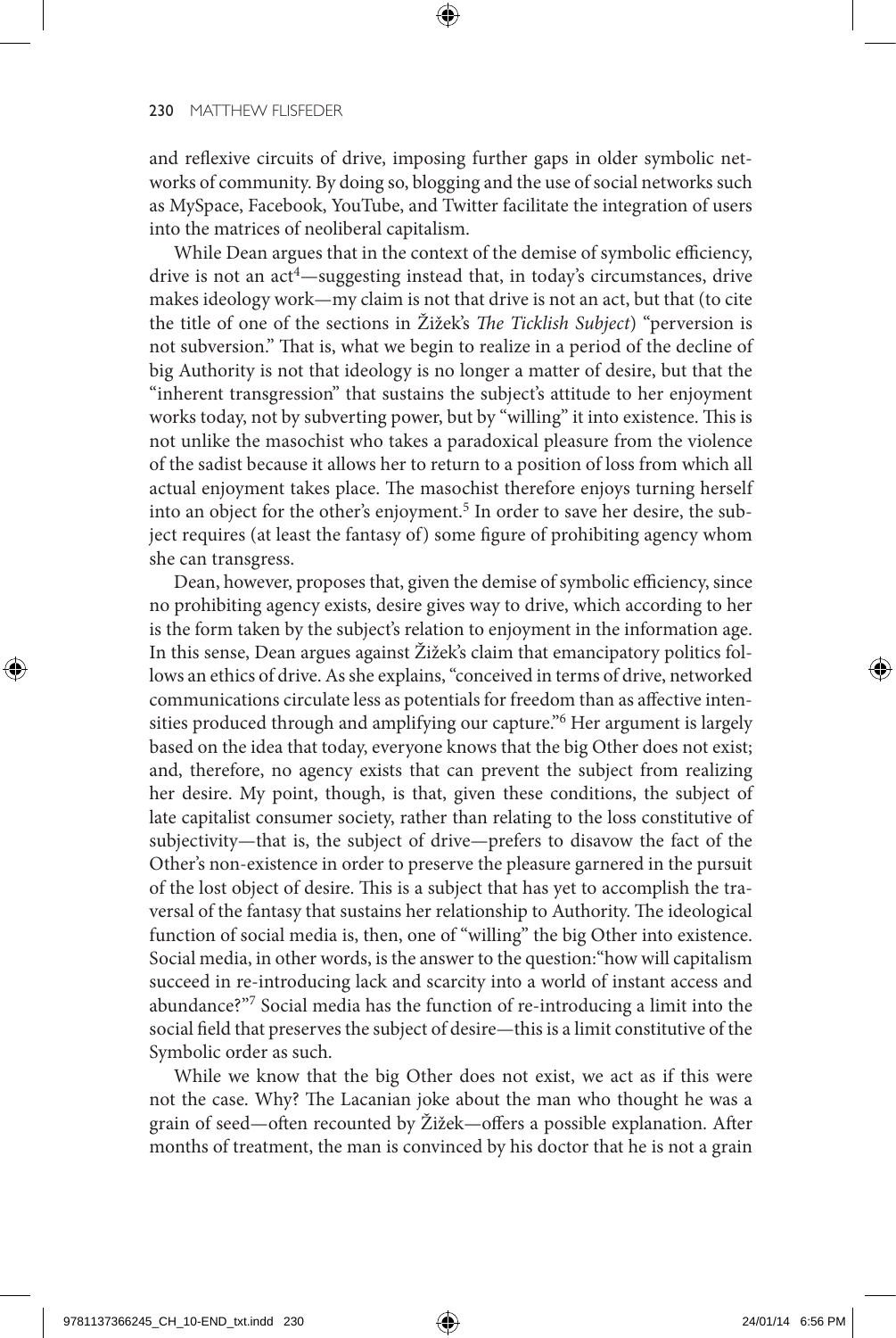and reflexive circuits of drive, imposing further gaps in older symbolic networks of community. By doing so, blogging and the use of social networks such as MySpace, Facebook, YouTube, and Twitter facilitate the integration of users into the matrices of neoliberal capitalism.

⊕

While Dean argues that in the context of the demise of symbolic efficiency, drive is not an act<sup>4</sup>—suggesting instead that, in today's circumstances, drive makes ideology work—my claim is not that drive is not an act, but that (to cite the title of one of the sections in Žižek's *The Ticklish Subject*) "perversion is not subversion." That is, what we begin to realize in a period of the decline of big Authority is not that ideology is no longer a matter of desire, but that the "inherent transgression" that sustains the subject's attitude to her enjoyment works today, not by subverting power, but by "willing" it into existence. This is not unlike the masochist who takes a paradoxical pleasure from the violence of the sadist because it allows her to return to a position of loss from which all actual enjoyment takes place. The masochist therefore enjoys turning herself into an object for the other's enjoyment.<sup>5</sup> In order to save her desire, the subject requires (at least the fantasy of) some figure of prohibiting agency whom she can transgress.

Dean, however, proposes that, given the demise of symbolic efficiency, since no prohibiting agency exists, desire gives way to drive, which according to her is the form taken by the subject's relation to enjoyment in the information age. In this sense, Dean argues against Žižek's claim that emancipatory politics follows an ethics of drive. As she explains, "conceived in terms of drive, networked communications circulate less as potentials for freedom than as affective intensities produced through and amplifying our capture."<sup>6</sup> Her argument is largely based on the idea that today, everyone knows that the big Other does not exist; and, therefore, no agency exists that can prevent the subject from realizing her desire. My point, though, is that, given these conditions, the subject of late capitalist consumer society, rather than relating to the loss constitutive of subjectivity—that is, the subject of drive—prefers to disavow the fact of the Other's non-existence in order to preserve the pleasure garnered in the pursuit of the lost object of desire. This is a subject that has yet to accomplish the traversal of the fantasy that sustains her relationship to Authority. The ideological function of social media is, then, one of "willing" the big Other into existence. Social media, in other words, is the answer to the question:"how will capitalism succeed in re-introducing lack and scarcity into a world of instant access and abundance?"7 Social media has the function of re-introducing a limit into the social field that preserves the subject of desire—this is a limit constitutive of the Symbolic order as such.

While we know that the big Other does not exist, we act as if this were not the case. Why? The Lacanian joke about the man who thought he was a grain of seed—often recounted by Žižek—offers a possible explanation. After months of treatment, the man is convinced by his doctor that he is not a grain

⊕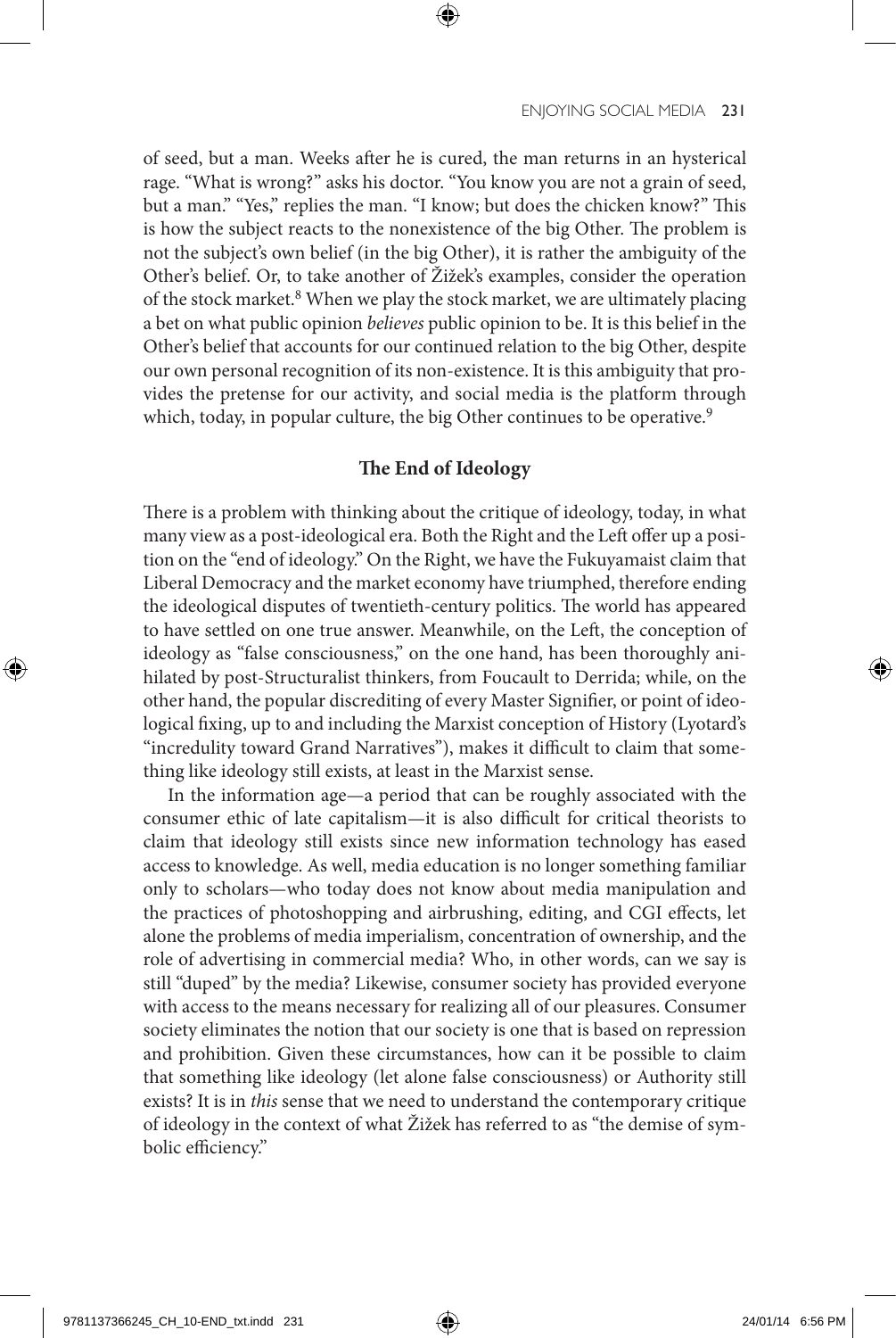of seed, but a man. Weeks after he is cured, the man returns in an hysterical rage. "What is wrong?" asks his doctor. "You know you are not a grain of seed, but a man." "Yes," replies the man. "I know; but does the chicken know?" This is how the subject reacts to the nonexistence of the big Other. The problem is not the subject's own belief (in the big Other), it is rather the ambiguity of the Other's belief. Or, to take another of Žižek's examples, consider the operation of the stock market. $8$  When we play the stock market, we are ultimately placing a bet on what public opinion believes public opinion to be. It is this belief in the Other's belief that accounts for our continued relation to the big Other, despite our own personal recognition of its non-existence. It is this ambiguity that provides the pretense for our activity, and social media is the platform through which, today, in popular culture, the big Other continues to be operative.<sup>9</sup>

⊕

## **!e End of Ideology**

There is a problem with thinking about the critique of ideology, today, in what many view as a post-ideological era. Both the Right and the Left offer up a position on the "end of ideology." On the Right, we have the Fukuyamaist claim that Liberal Democracy and the market economy have triumphed, therefore ending the ideological disputes of twentieth-century politics. The world has appeared to have settled on one true answer. Meanwhile, on the Left, the conception of ideology as "false consciousness," on the one hand, has been thoroughly anihilated by post-Structuralist thinkers, from Foucault to Derrida; while, on the other hand, the popular discrediting of every Master Signifier, or point of ideological fixing, up to and including the Marxist conception of History (Lyotard's "incredulity toward Grand Narratives"), makes it difficult to claim that something like ideology still exists, at least in the Marxist sense.

In the information age—a period that can be roughly associated with the consumer ethic of late capitalism—it is also difficult for critical theorists to claim that ideology still exists since new information technology has eased access to knowledge. As well, media education is no longer something familiar only to scholars—who today does not know about media manipulation and the practices of photoshopping and airbrushing, editing, and CGI effects, let alone the problems of media imperialism, concentration of ownership, and the role of advertising in commercial media? Who, in other words, can we say is still "duped" by the media? Likewise, consumer society has provided everyone with access to the means necessary for realizing all of our pleasures. Consumer society eliminates the notion that our society is one that is based on repression and prohibition. Given these circumstances, how can it be possible to claim that something like ideology (let alone false consciousness) or Authority still exists? It is in this sense that we need to understand the contemporary critique of ideology in the context of what Žižek has referred to as "the demise of symbolic efficiency."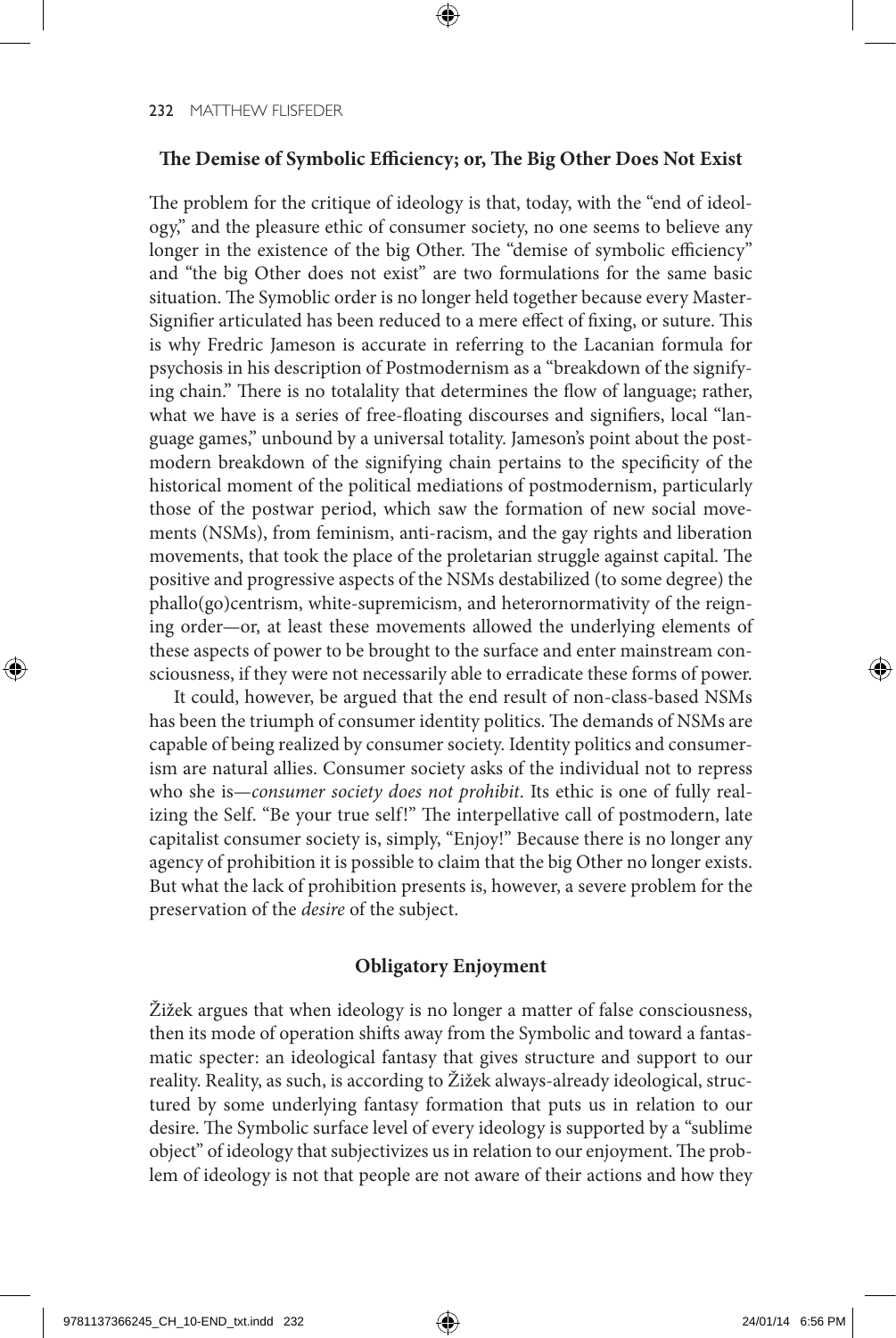## **!e Demise of Symbolic E"ciency; or, !e Big Other Does Not Exist**

⊕

The problem for the critique of ideology is that, today, with the "end of ideology," and the pleasure ethic of consumer society, no one seems to believe any longer in the existence of the big Other. The "demise of symbolic efficiency" and "the big Other does not exist" are two formulations for the same basic situation. The Symoblic order is no longer held together because every Master-Signifier articulated has been reduced to a mere effect of fixing, or suture. This is why Fredric Jameson is accurate in referring to the Lacanian formula for psychosis in his description of Postmodernism as a "breakdown of the signifying chain." There is no totalality that determines the flow of language; rather, what we have is a series of free-floating discourses and signifiers, local "language games," unbound by a universal totality. Jameson's point about the postmodern breakdown of the signifying chain pertains to the specificity of the historical moment of the political mediations of postmodernism, particularly those of the postwar period, which saw the formation of new social movements (NSMs), from feminism, anti-racism, and the gay rights and liberation movements, that took the place of the proletarian struggle against capital. The positive and progressive aspects of the NSMs destabilized (to some degree) the phallo(go)centrism, white-supremicism, and heterornormativity of the reigning order—or, at least these movements allowed the underlying elements of these aspects of power to be brought to the surface and enter mainstream consciousness, if they were not necessarily able to erradicate these forms of power.

It could, however, be argued that the end result of non-class-based NSMs has been the triumph of consumer identity politics. The demands of NSMs are capable of being realized by consumer society. Identity politics and consumerism are natural allies. Consumer society asks of the individual not to repress who she is—consumer society does not prohibit. Its ethic is one of fully realizing the Self. "Be your true self!" The interpellative call of postmodern, late capitalist consumer society is, simply, "Enjoy!" Because there is no longer any agency of prohibition it is possible to claim that the big Other no longer exists. But what the lack of prohibition presents is, however, a severe problem for the preservation of the desire of the subject.

## **Obligatory Enjoyment**

Žižek argues that when ideology is no longer a matter of false consciousness, then its mode of operation shifts away from the Symbolic and toward a fantasmatic specter: an ideological fantasy that gives structure and support to our reality. Reality, as such, is according to Žižek always-already ideological, structured by some underlying fantasy formation that puts us in relation to our desire. The Symbolic surface level of every ideology is supported by a "sublime object" of ideology that subjectivizes us in relation to our enjoyment. The problem of ideology is not that people are not aware of their actions and how they

9781137366245\_CH\_10-END\_txt.indd 232 24/01/14 6:56 PM

⊕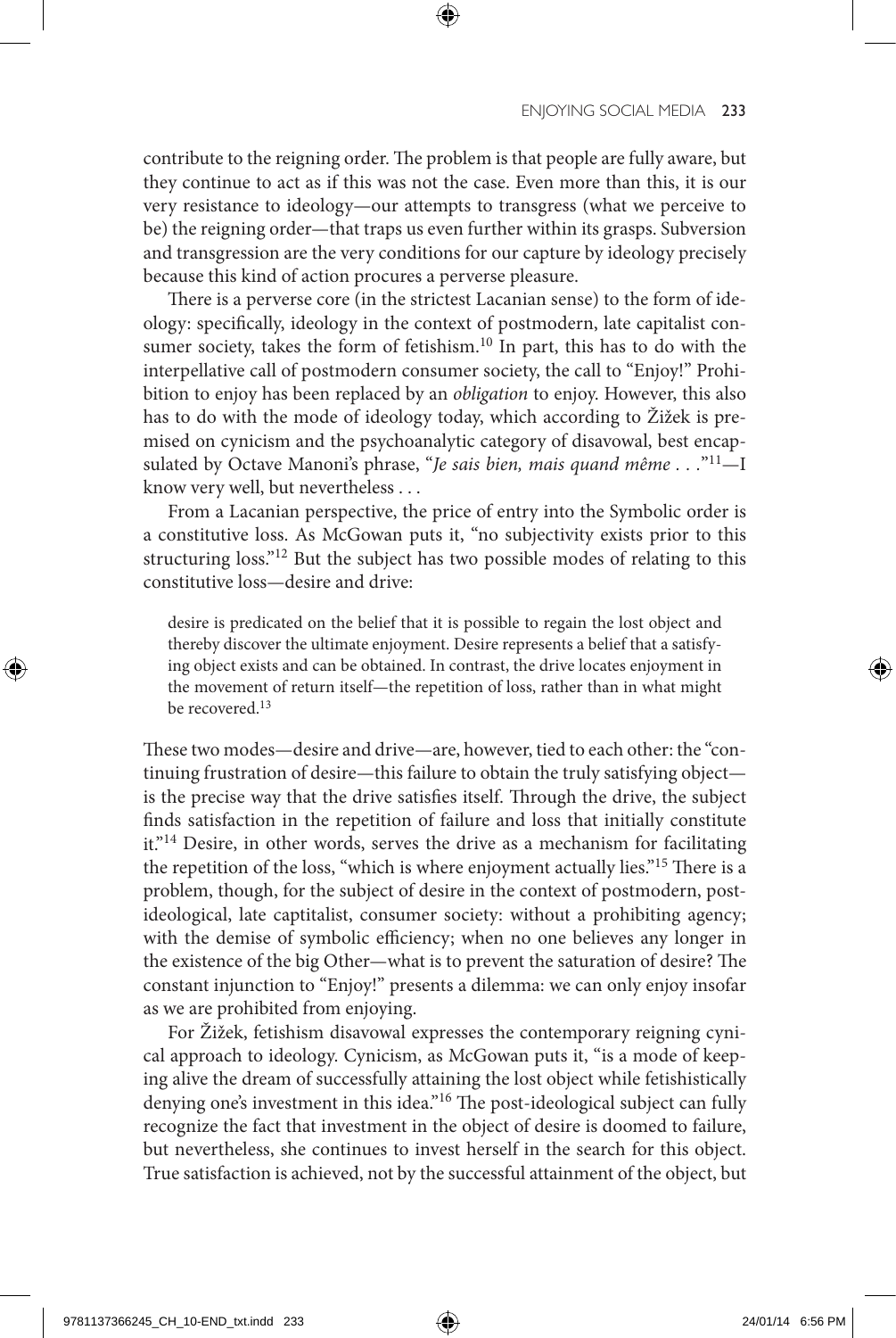contribute to the reigning order. The problem is that people are fully aware, but they continue to act as if this was not the case. Even more than this, it is our very resistance to ideology—our attempts to transgress (what we perceive to be) the reigning order—that traps us even further within its grasps. Subversion and transgression are the very conditions for our capture by ideology precisely because this kind of action procures a perverse pleasure.

There is a perverse core (in the strictest Lacanian sense) to the form of ideology: specifically, ideology in the context of postmodern, late capitalist consumer society, takes the form of fetishism.<sup>10</sup> In part, this has to do with the interpellative call of postmodern consumer society, the call to "Enjoy!" Prohibition to enjoy has been replaced by an obligation to enjoy. However, this also has to do with the mode of ideology today, which according to Žižek is premised on cynicism and the psychoanalytic category of disavowal, best encapsulated by Octave Manoni's phrase, "Je sais bien, mais quand même . . ." $^{11}$ -I know very well, but nevertheless . . .

From a Lacanian perspective, the price of entry into the Symbolic order is a constitutive loss. As McGowan puts it, "no subjectivity exists prior to this structuring loss."12 But the subject has two possible modes of relating to this constitutive loss—desire and drive:

desire is predicated on the belief that it is possible to regain the lost object and thereby discover the ultimate enjoyment. Desire represents a belief that a satisfying object exists and can be obtained. In contrast, the drive locates enjoyment in the movement of return itself—the repetition of loss, rather than in what might be recovered.<sup>13</sup>

These two modes—desire and drive—are, however, tied to each other: the "continuing frustration of desire—this failure to obtain the truly satisfying object is the precise way that the drive satisfies itself. Through the drive, the subject finds satisfaction in the repetition of failure and loss that initially constitute  $it.^{n_14}$  Desire, in other words, serves the drive as a mechanism for facilitating the repetition of the loss, "which is where enjoyment actually lies."<sup>15</sup> There is a problem, though, for the subject of desire in the context of postmodern, postideological, late captitalist, consumer society: without a prohibiting agency; with the demise of symbolic efficiency; when no one believes any longer in the existence of the big Other—what is to prevent the saturation of desire? The constant injunction to "Enjoy!" presents a dilemma: we can only enjoy insofar as we are prohibited from enjoying.

For Žižek, fetishism disavowal expresses the contemporary reigning cynical approach to ideology. Cynicism, as McGowan puts it, "is a mode of keeping alive the dream of successfully attaining the lost object while fetishistically denying one's investment in this idea."<sup>16</sup> The post-ideological subject can fully recognize the fact that investment in the object of desire is doomed to failure, but nevertheless, she continues to invest herself in the search for this object. True satisfaction is achieved, not by the successful attainment of the object, but

⊕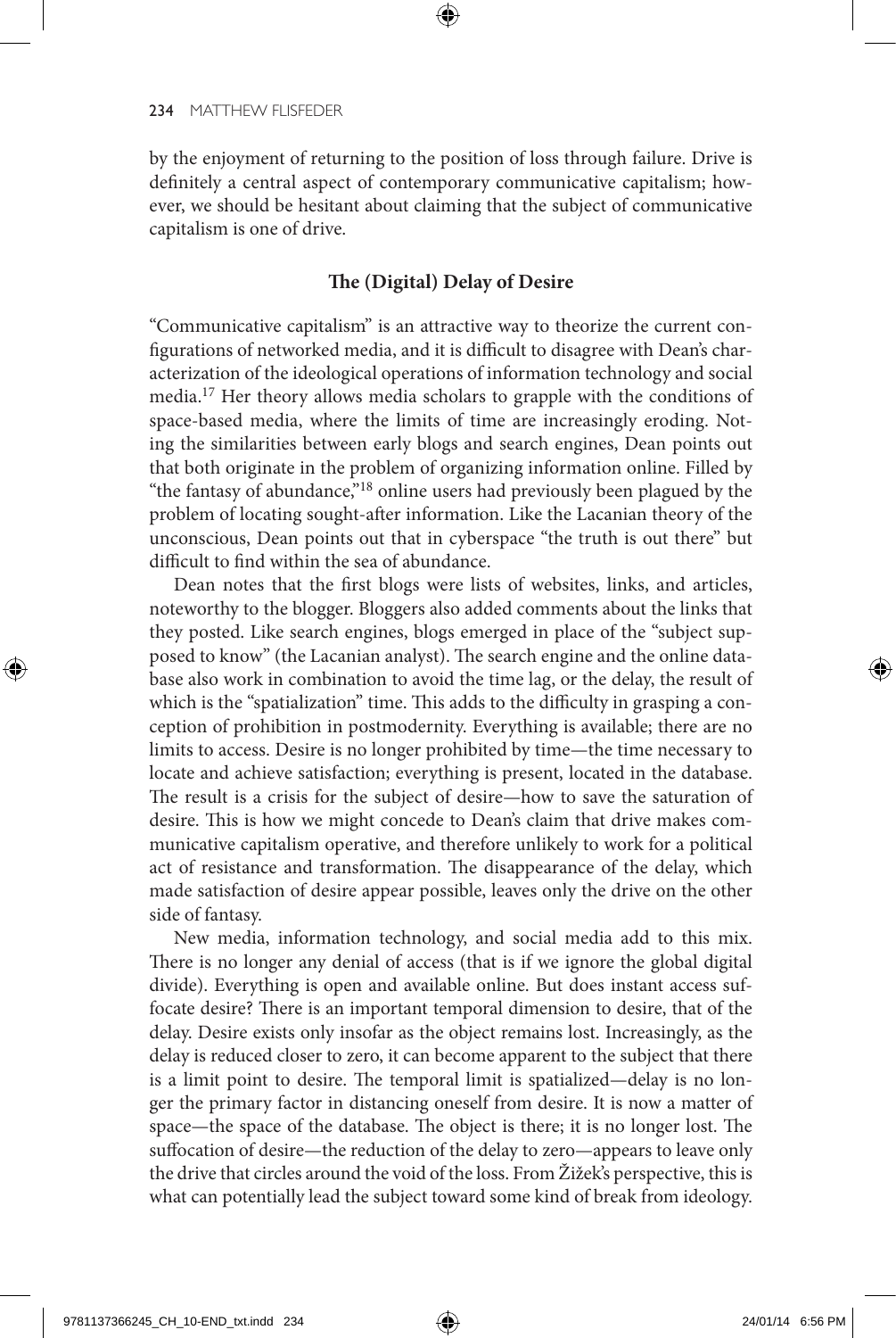by the enjoyment of returning to the position of loss through failure. Drive is definitely a central aspect of contemporary communicative capitalism; however, we should be hesitant about claiming that the subject of communicative capitalism is one of drive.

⊕

## **!e (Digital) Delay of Desire**

"Communicative capitalism" is an attractive way to theorize the current con figurations of networked media, and it is difficult to disagree with Dean's characterization of the ideological operations of information technology and social media.17 Her theory allows media scholars to grapple with the conditions of space-based media, where the limits of time are increasingly eroding. Noting the similarities between early blogs and search engines, Dean points out that both originate in the problem of organizing information online. Filled by "the fantasy of abundance,"18 online users had previously been plagued by the problem of locating sought-after information. Like the Lacanian theory of the unconscious, Dean points out that in cyberspace "the truth is out there" but difficult to find within the sea of abundance.

Dean notes that the first blogs were lists of websites, links, and articles, noteworthy to the blogger. Bloggers also added comments about the links that they posted. Like search engines, blogs emerged in place of the "subject supposed to know" (the Lacanian analyst). The search engine and the online database also work in combination to avoid the time lag, or the delay, the result of which is the "spatialization" time. This adds to the difficulty in grasping a conception of prohibition in postmodernity. Everything is available; there are no limits to access. Desire is no longer prohibited by time—the time necessary to locate and achieve satisfaction; everything is present, located in the database. The result is a crisis for the subject of desire—how to save the saturation of desire. This is how we might concede to Dean's claim that drive makes communicative capitalism operative, and therefore unlikely to work for a political act of resistance and transformation. The disappearance of the delay, which made satisfaction of desire appear possible, leaves only the drive on the other side of fantasy.

New media, information technology, and social media add to this mix. There is no longer any denial of access (that is if we ignore the global digital divide). Everything is open and available online. But does instant access suffocate desire? There is an important temporal dimension to desire, that of the delay. Desire exists only insofar as the object remains lost. Increasingly, as the delay is reduced closer to zero, it can become apparent to the subject that there is a limit point to desire. The temporal limit is spatialized—delay is no longer the primary factor in distancing oneself from desire. It is now a matter of space—the space of the database. The object is there; it is no longer lost. The suffocation of desire—the reduction of the delay to zero—appears to leave only the drive that circles around the void of the loss. From Žižek's perspective, this is what can potentially lead the subject toward some kind of break from ideology.

9781137366245\_CH\_10-END\_txt.indd 234 24/01/14 6:56 PM

⊕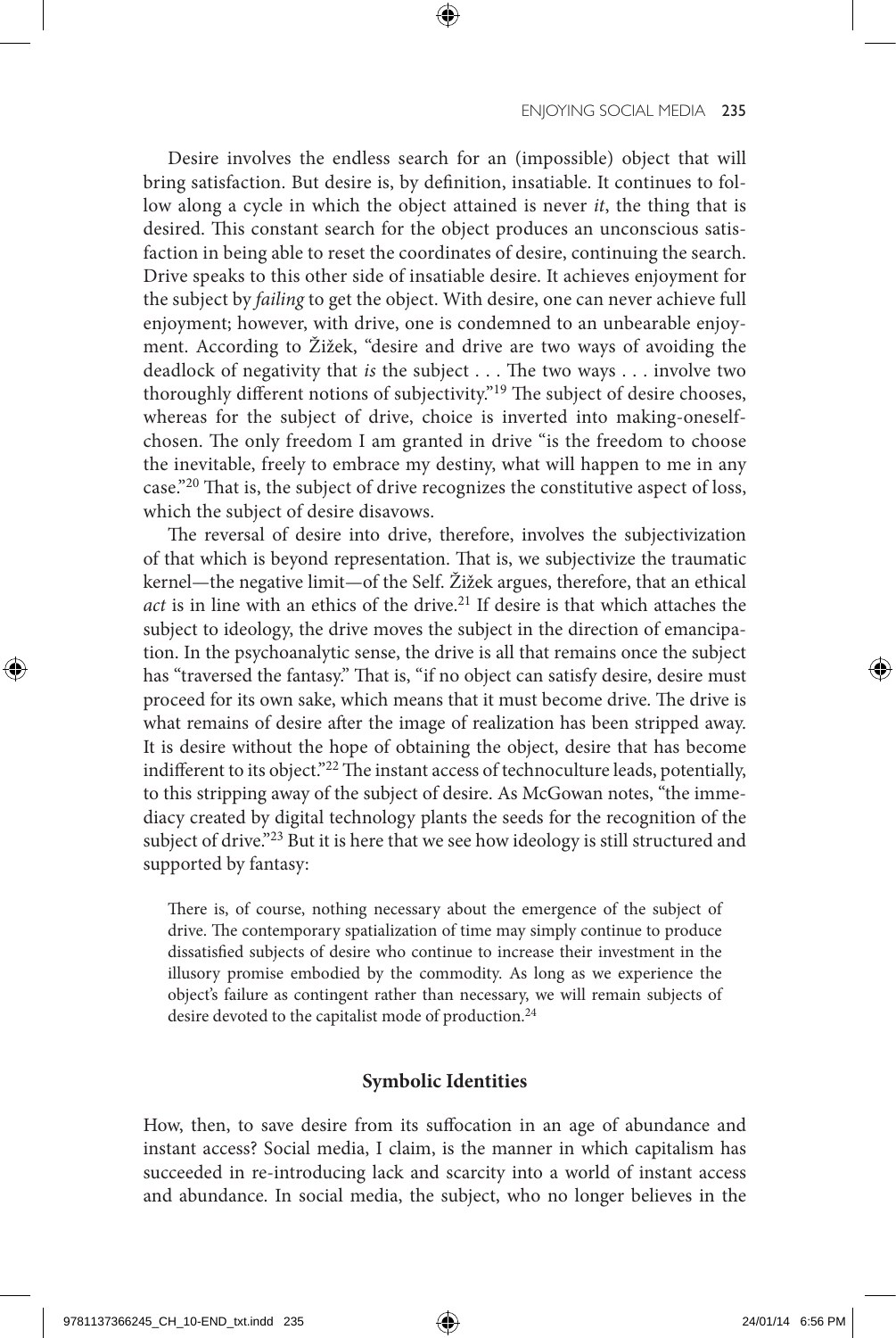Desire involves the endless search for an (impossible) object that will bring satisfaction. But desire is, by definition, insatiable. It continues to follow along a cycle in which the object attained is never *it*, the thing that is desired. This constant search for the object produces an unconscious satisfaction in being able to reset the coordinates of desire, continuing the search. Drive speaks to this other side of insatiable desire. It achieves enjoyment for the subject by failing to get the object. With desire, one can never achieve full enjoyment; however, with drive, one is condemned to an unbearable enjoyment. According to Žižek, "desire and drive are two ways of avoiding the deadlock of negativity that is the subject  $\dots$  The two ways  $\dots$  involve two thoroughly different notions of subjectivity."<sup>19</sup> The subject of desire chooses, whereas for the subject of drive, choice is inverted into making-oneselfchosen. The only freedom I am granted in drive "is the freedom to choose the inevitable, freely to embrace my destiny, what will happen to me in any case."<sup>20</sup> That is, the subject of drive recognizes the constitutive aspect of loss, which the subject of desire disavows.

⊕

The reversal of desire into drive, therefore, involves the subjectivization of that which is beyond representation. That is, we subjectivize the traumatic kernel—the negative limit—of the Self. Žižek argues, therefore, that an ethical act is in line with an ethics of the drive.<sup>21</sup> If desire is that which attaches the subject to ideology, the drive moves the subject in the direction of emancipation. In the psychoanalytic sense, the drive is all that remains once the subject has "traversed the fantasy." That is, "if no object can satisfy desire, desire must proceed for its own sake, which means that it must become drive. The drive is what remains of desire after the image of realization has been stripped away. It is desire without the hope of obtaining the object, desire that has become indifferent to its object."<sup>22</sup> The instant access of technoculture leads, potentially, to this stripping away of the subject of desire. As McGowan notes, "the immediacy created by digital technology plants the seeds for the recognition of the subject of drive."<sup>23</sup> But it is here that we see how ideology is still structured and supported by fantasy:

There is, of course, nothing necessary about the emergence of the subject of drive. The contemporary spatialization of time may simply continue to produce dissatisfied subjects of desire who continue to increase their investment in the illusory promise embodied by the commodity. As long as we experience the object's failure as contingent rather than necessary, we will remain subjects of desire devoted to the capitalist mode of production.<sup>24</sup>

## **Symbolic Identities**

How, then, to save desire from its suffocation in an age of abundance and instant access? Social media, I claim, is the manner in which capitalism has succeeded in re-introducing lack and scarcity into a world of instant access and abundance. In social media, the subject, who no longer believes in the

9781137366245\_CH\_10-END\_txt.indd 235 24/01/14 6:56 PM

⊕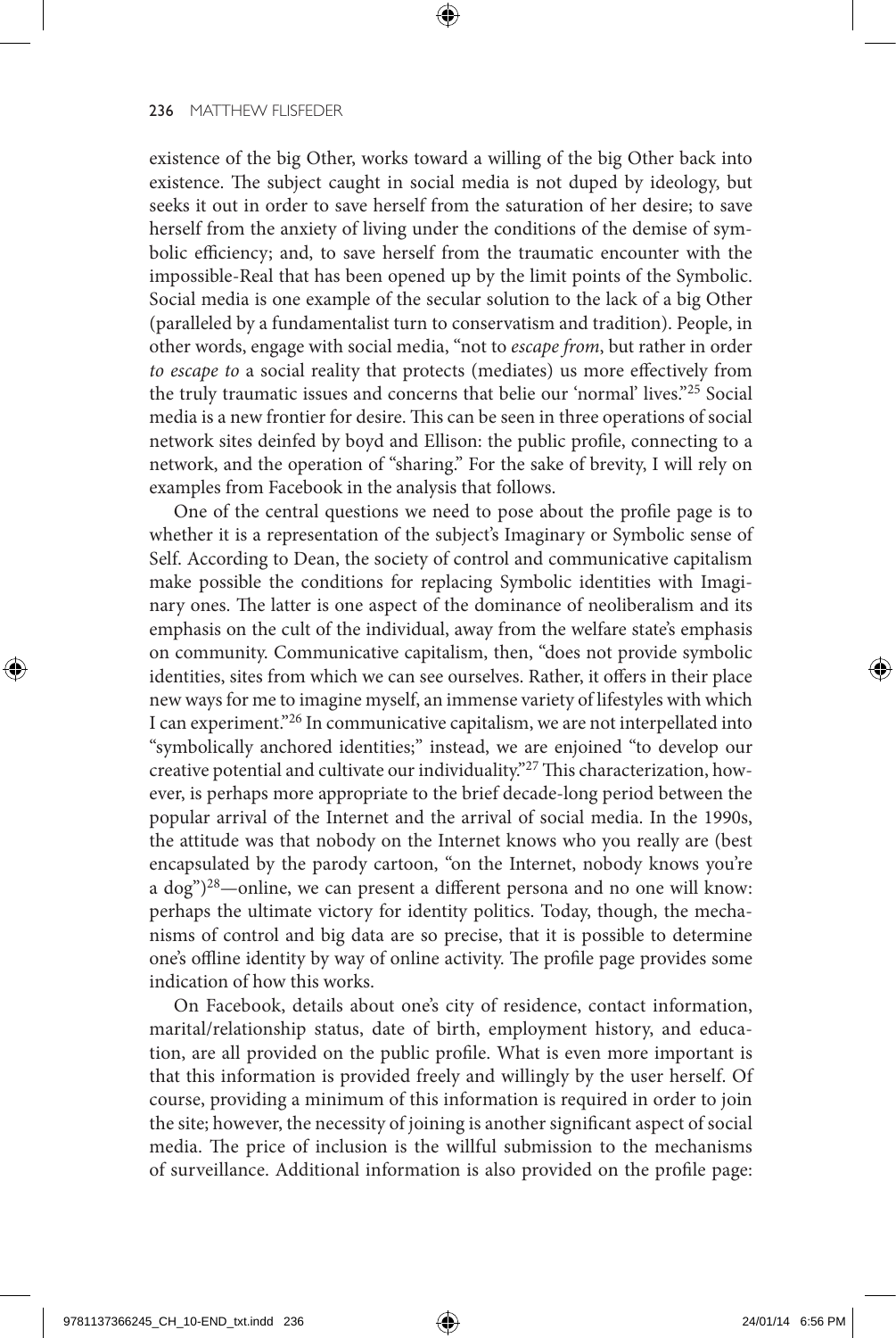existence of the big Other, works toward a willing of the big Other back into existence. The subject caught in social media is not duped by ideology, but seeks it out in order to save herself from the saturation of her desire; to save herself from the anxiety of living under the conditions of the demise of symbolic efficiency; and, to save herself from the traumatic encounter with the impossible-Real that has been opened up by the limit points of the Symbolic. Social media is one example of the secular solution to the lack of a big Other (paralleled by a fundamentalist turn to conservatism and tradition). People, in other words, engage with social media, "not to escape from, but rather in order to escape to a social reality that protects (mediates) us more effectively from the truly traumatic issues and concerns that belie our 'normal' lives."25 Social media is a new frontier for desire. This can be seen in three operations of social network sites deinfed by boyd and Ellison: the public profile, connecting to a network, and the operation of "sharing." For the sake of brevity, I will rely on examples from Facebook in the analysis that follows.

One of the central questions we need to pose about the profile page is to whether it is a representation of the subject's Imaginary or Symbolic sense of Self. According to Dean, the society of control and communicative capitalism make possible the conditions for replacing Symbolic identities with Imaginary ones. The latter is one aspect of the dominance of neoliberalism and its emphasis on the cult of the individual, away from the welfare state's emphasis on community. Communicative capitalism, then, "does not provide symbolic identities, sites from which we can see ourselves. Rather, it offers in their place new ways for me to imagine myself, an immense variety of lifestyles with which I can experiment."26 In communicative capitalism, we are not interpellated into "symbolically anchored identities;" instead, we are enjoined "to develop our creative potential and cultivate our individuality."<sup>27</sup> This characterization, however, is perhaps more appropriate to the brief decade-long period between the popular arrival of the Internet and the arrival of social media. In the 1990s, the attitude was that nobody on the Internet knows who you really are (best encapsulated by the parody cartoon, "on the Internet, nobody knows you're a dog") $28$ —online, we can present a different persona and no one will know: perhaps the ultimate victory for identity politics. Today, though, the mechanisms of control and big data are so precise, that it is possible to determine one's offline identity by way of online activity. The profile page provides some indication of how this works.

On Facebook, details about one's city of residence, contact information, marital/relationship status, date of birth, employment history, and education, are all provided on the public profile. What is even more important is that this information is provided freely and willingly by the user herself. Of course, providing a minimum of this information is required in order to join the site; however, the necessity of joining is another significant aspect of social media. The price of inclusion is the willful submission to the mechanisms of surveillance. Additional information is also provided on the profile page:

⊕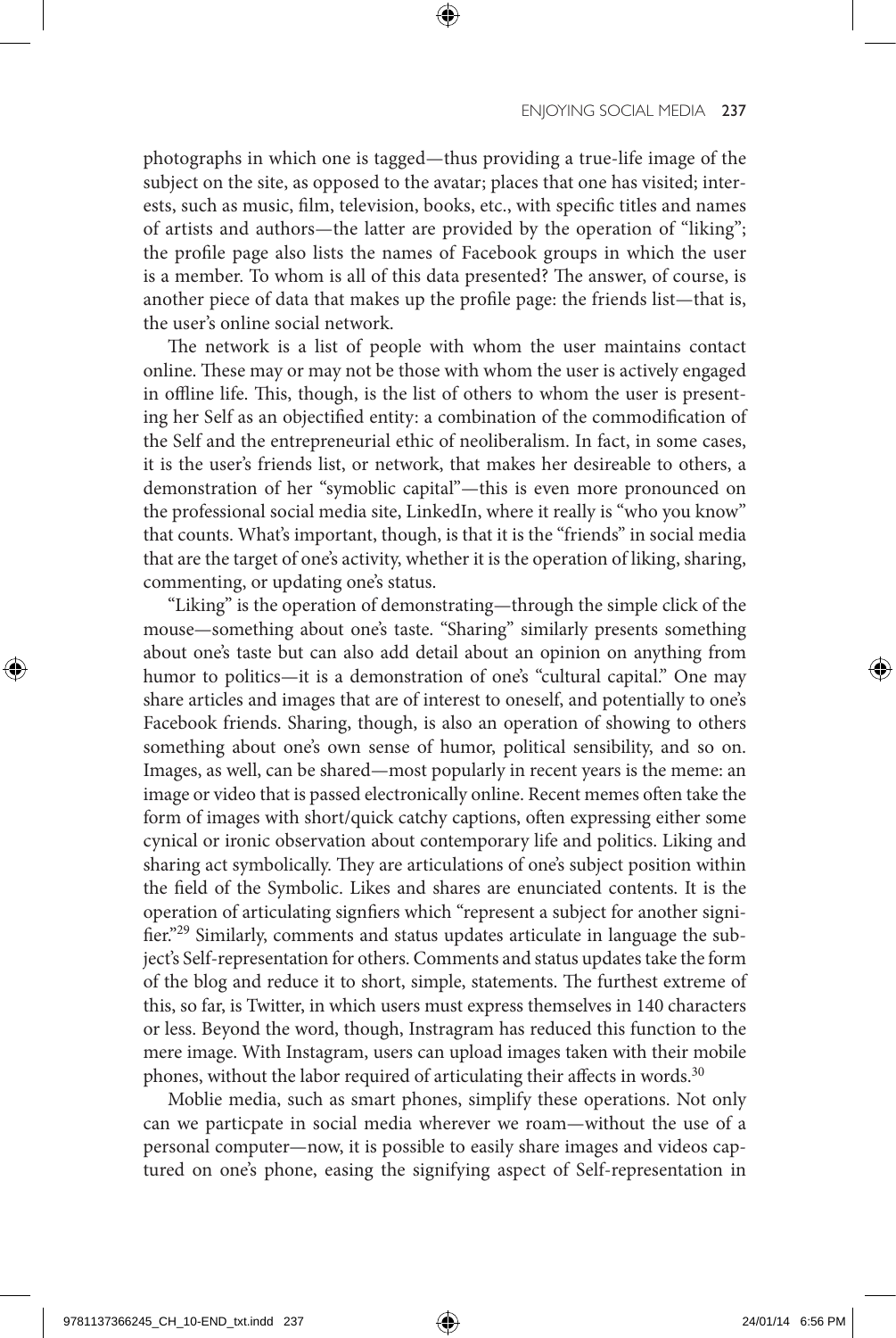photographs in which one is tagged—thus providing a true-life image of the subject on the site, as opposed to the avatar; places that one has visited; interests, such as music, film, television, books, etc., with specific titles and names of artists and authors—the latter are provided by the operation of "liking"; the profile page also lists the names of Facebook groups in which the user is a member. To whom is all of this data presented? The answer, of course, is another piece of data that makes up the profile page: the friends list-that is, the user's online social network.

The network is a list of people with whom the user maintains contact online. These may or may not be those with whom the user is actively engaged in offline life. This, though, is the list of others to whom the user is presenting her Self as an objectified entity: a combination of the commodification of the Self and the entrepreneurial ethic of neoliberalism. In fact, in some cases, it is the user's friends list, or network, that makes her desireable to others, a demonstration of her "symoblic capital"—this is even more pronounced on the professional social media site, LinkedIn, where it really is "who you know" that counts. What's important, though, is that it is the "friends" in social media that are the target of one's activity, whether it is the operation of liking, sharing, commenting, or updating one's status.

"Liking" is the operation of demonstrating—through the simple click of the mouse—something about one's taste. "Sharing" similarly presents something about one's taste but can also add detail about an opinion on anything from humor to politics—it is a demonstration of one's "cultural capital." One may share articles and images that are of interest to oneself, and potentially to one's Facebook friends. Sharing, though, is also an operation of showing to others something about one's own sense of humor, political sensibility, and so on. Images, as well, can be shared—most popularly in recent years is the meme: an image or video that is passed electronically online. Recent memes often take the form of images with short/quick catchy captions, often expressing either some cynical or ironic observation about contemporary life and politics. Liking and sharing act symbolically. They are articulations of one's subject position within the field of the Symbolic. Likes and shares are enunciated contents. It is the operation of articulating signfiers which "represent a subject for another signifier."<sup>29</sup> Similarly, comments and status updates articulate in language the subject's Self-representation for others. Comments and status updates take the form of the blog and reduce it to short, simple, statements. The furthest extreme of this, so far, is Twitter, in which users must express themselves in 140 characters or less. Beyond the word, though, Instragram has reduced this function to the mere image. With Instagram, users can upload images taken with their mobile phones, without the labor required of articulating their affects in words. $30$ 

Moblie media, such as smart phones, simplify these operations. Not only can we particpate in social media wherever we roam—without the use of a personal computer—now, it is possible to easily share images and videos captured on one's phone, easing the signifying aspect of Self-representation in

9781137366245\_CH\_10-END\_txt.indd 237 24/01/14 6:56 PM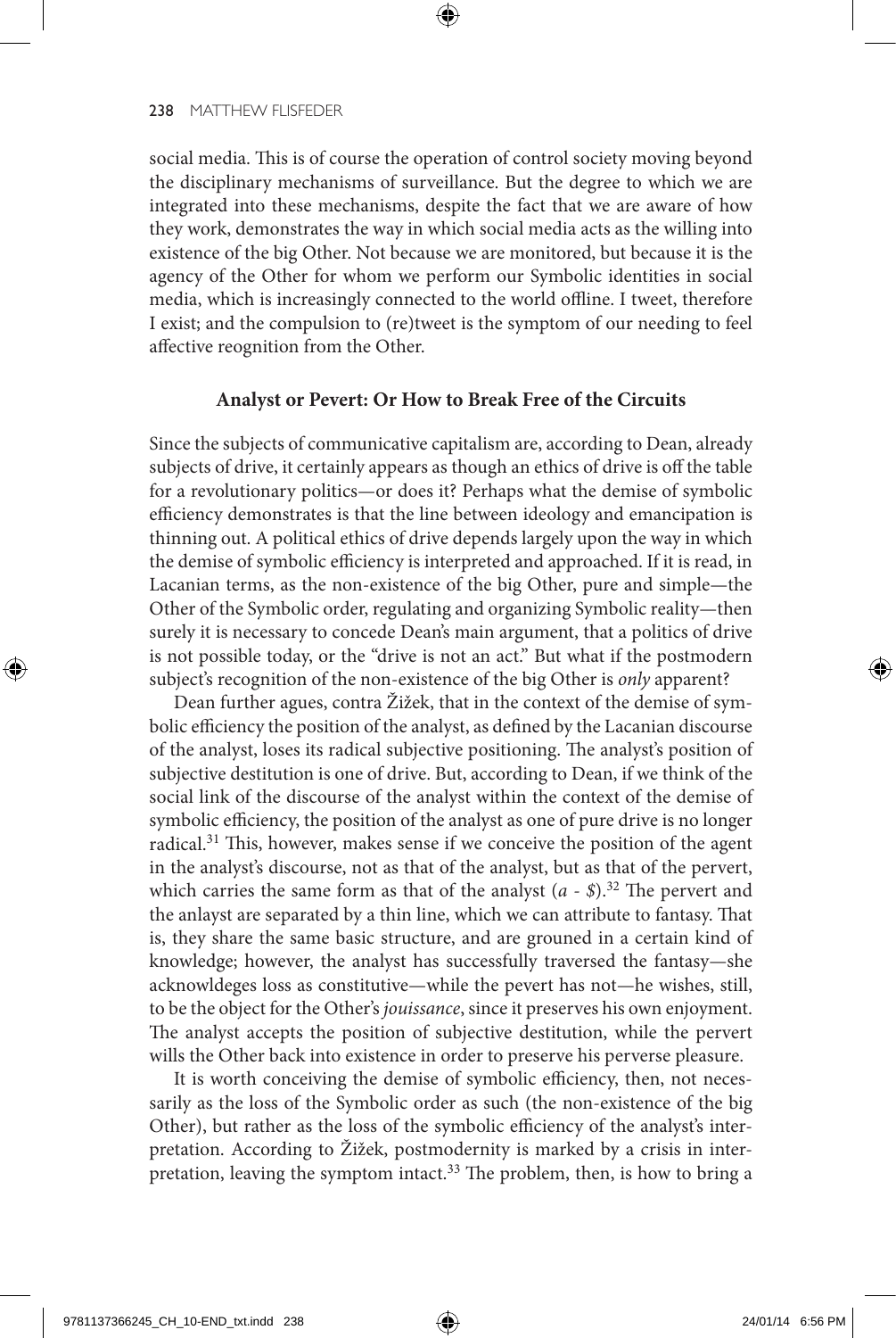social media. This is of course the operation of control society moving beyond the disciplinary mechanisms of surveillance. But the degree to which we are integrated into these mechanisms, despite the fact that we are aware of how they work, demonstrates the way in which social media acts as the willing into existence of the big Other. Not because we are monitored, but because it is the agency of the Other for whom we perform our Symbolic identities in social media, which is increasingly connected to the world offline. I tweet, therefore I exist; and the compulsion to (re)tweet is the symptom of our needing to feel affective reognition from the Other.

⊕

### **Analyst or Pevert: Or How to Break Free of the Circuits**

Since the subjects of communicative capitalism are, according to Dean, already subjects of drive, it certainly appears as though an ethics of drive is off the table for a revolutionary politics—or does it? Perhaps what the demise of symbolic efficiency demonstrates is that the line between ideology and emancipation is thinning out. A political ethics of drive depends largely upon the way in which the demise of symbolic efficiency is interpreted and approached. If it is read, in Lacanian terms, as the non-existence of the big Other, pure and simple—the Other of the Symbolic order, regulating and organizing Symbolic reality—then surely it is necessary to concede Dean's main argument, that a politics of drive is not possible today, or the "drive is not an act." But what if the postmodern subject's recognition of the non-existence of the big Other is only apparent?

Dean further agues, contra Žižek, that in the context of the demise of symbolic efficiency the position of the analyst, as defined by the Lacanian discourse of the analyst, loses its radical subjective positioning. The analyst's position of subjective destitution is one of drive. But, according to Dean, if we think of the social link of the discourse of the analyst within the context of the demise of symbolic efficiency, the position of the analyst as one of pure drive is no longer radical. $31$  This, however, makes sense if we conceive the position of the agent in the analyst's discourse, not as that of the analyst, but as that of the pervert, which carries the same form as that of the analyst  $(a - $).^{32}$  The pervert and the anlayst are separated by a thin line, which we can attribute to fantasy. That is, they share the same basic structure, and are grouned in a certain kind of knowledge; however, the analyst has successfully traversed the fantasy—she acknowldeges loss as constitutive—while the pevert has not—he wishes, still, to be the object for the Other's jouissance, since it preserves his own enjoyment. The analyst accepts the position of subjective destitution, while the pervert wills the Other back into existence in order to preserve his perverse pleasure.

It is worth conceiving the demise of symbolic efficiency, then, not necessarily as the loss of the Symbolic order as such (the non-existence of the big Other), but rather as the loss of the symbolic efficiency of the analyst's interpretation. According to Žižek, postmodernity is marked by a crisis in interpretation, leaving the symptom intact.<sup>33</sup> The problem, then, is how to bring a

⊕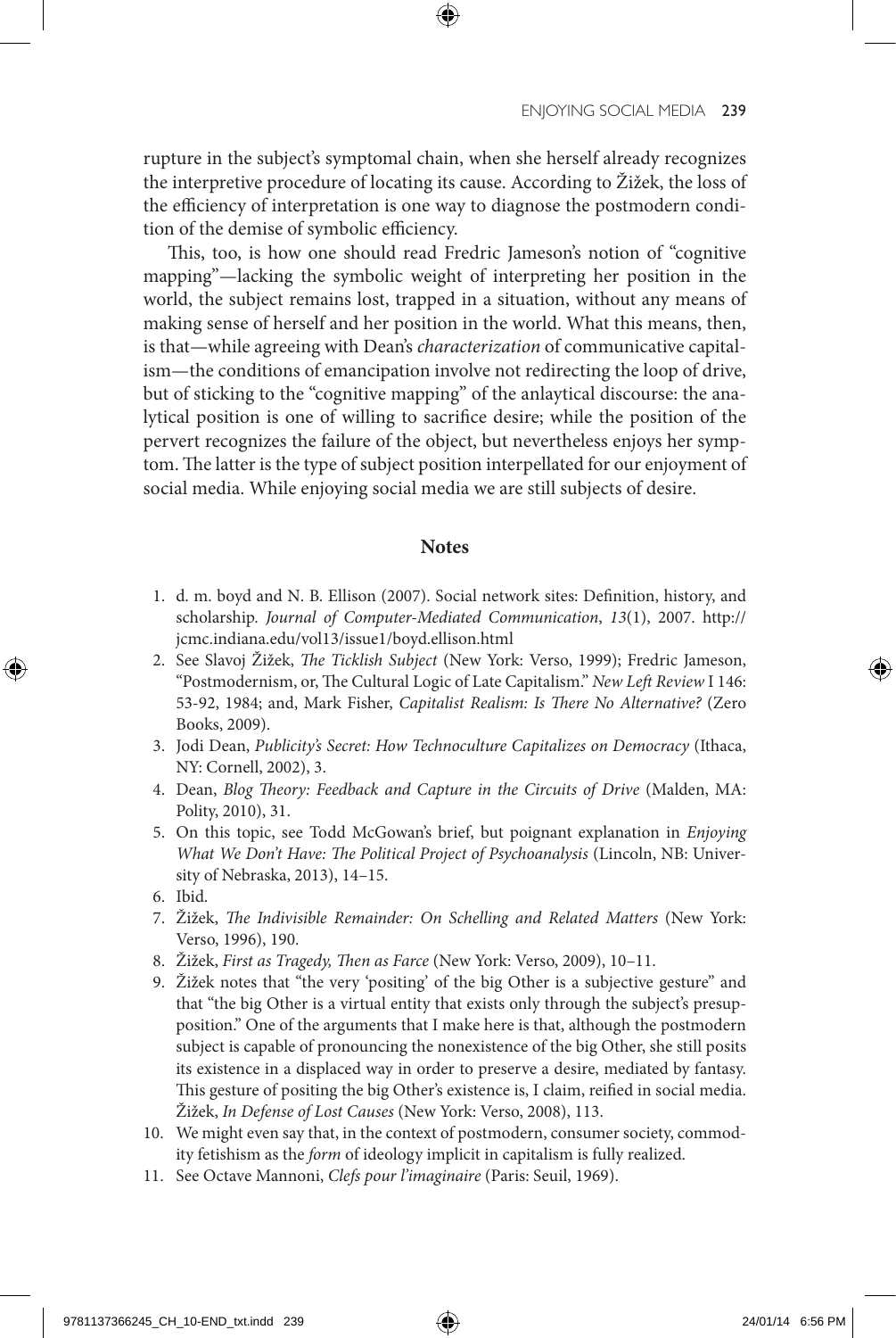rupture in the subject's symptomal chain, when she herself already recognizes the interpretive procedure of locating its cause. According to Žižek, the loss of the efficiency of interpretation is one way to diagnose the postmodern condition of the demise of symbolic efficiency.

This, too, is how one should read Fredric Jameson's notion of "cognitive mapping"—lacking the symbolic weight of interpreting her position in the world, the subject remains lost, trapped in a situation, without any means of making sense of herself and her position in the world. What this means, then, is that—while agreeing with Dean's characterization of communicative capitalism—the conditions of emancipation involve not redirecting the loop of drive, but of sticking to the "cognitive mapping" of the anlaytical discourse: the analytical position is one of willing to sacrifice desire; while the position of the pervert recognizes the failure of the object, but nevertheless enjoys her symptom. The latter is the type of subject position interpellated for our enjoyment of social media. While enjoying social media we are still subjects of desire.

#### **Notes**

- 1. d. m. boyd and N. B. Ellison (2007). Social network sites: Definition, history, and scholarship. Journal of Computer-Mediated Communication, 13(1), 2007. http:// jcmc.indiana.edu/vol13/issue1/boyd.ellison.html
- 2. See Slavoj Žižek, The Ticklish Subject (New York: Verso, 1999); Fredric Jameson, "Postmodernism, or, The Cultural Logic of Late Capitalism." New Left Review I 146: 53-92, 1984; and, Mark Fisher, Capitalist Realism: Is There No Alternative? (Zero Books, 2009).
- 3. Jodi Dean, Publicity's Secret: How Technoculture Capitalizes on Democracy (Ithaca, NY: Cornell, 2002), 3.
- 4. Dean, Blog Theory: Feedback and Capture in the Circuits of Drive (Malden, MA: Polity, 2010), 31.
- 5. On this topic, see Todd McGowan's brief, but poignant explanation in Enjoying What We Don't Have: The Political Project of Psychoanalysis (Lincoln, NB: University of Nebraska, 2013), 14–15.
- 6. Ibid.

⊕

- 7. Žižek, The Indivisible Remainder: On Schelling and Related Matters (New York: Verso, 1996), 190.
- 8. Žižek, First as Tragedy, Then as Farce (New York: Verso, 2009), 10-11.
- 9. Žižek notes that "the very 'positing' of the big Other is a subjective gesture" and that "the big Other is a virtual entity that exists only through the subject's presupposition." One of the arguments that I make here is that, although the postmodern subject is capable of pronouncing the nonexistence of the big Other, she still posits its existence in a displaced way in order to preserve a desire, mediated by fantasy. This gesture of positing the big Other's existence is, I claim, reified in social media. Žižek, In Defense of Lost Causes (New York: Verso, 2008), 113.
- 10. We might even say that, in the context of postmodern, consumer society, commodity fetishism as the form of ideology implicit in capitalism is fully realized.
- 11. See Octave Mannoni, Clefs pour l'imaginaire (Paris: Seuil, 1969).

9781137366245\_CH\_10-END\_txt.indd 239 24/01/14 6:56 PM